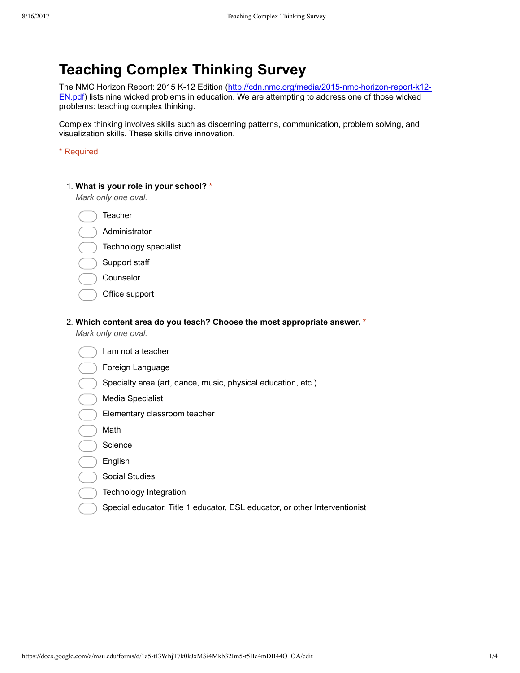# **Teaching Complex Thinking Survey**

The NMC Horizon Report: 2015 K-12 Edition (http://cdn.nmc.org/media/2015-nmc-horizon-report-k12-EN.pdf) lists nine wicked problems in education. We are attempting to address one of those wicked problems: teaching complex thinking.

Complex thinking involves skills such as discerning patterns, communication, problem solving, and visualization skills. These skills drive innovation.

\* Required

#### 1. **What is your role in your school? \***

*Mark only one oval.*

**Teacher** 

- Administrator
- Technology specialist
- Support staff
- Counselor
- Office support

#### 2. **Which content area do you teach? Choose the most appropriate answer. \***

*Mark only one oval.*

| am not a teacher                                             |
|--------------------------------------------------------------|
| Foreign Language                                             |
| Specialty area (art, dance, music, physical education, etc.) |
| Media Specialist                                             |
| Elementary classroom teacher                                 |
| Math                                                         |
| Science                                                      |
| English                                                      |
| <b>Social Studies</b>                                        |
| Technology Integration                                       |

Special educator, Title 1 educator, ESL educator, or other Interventionist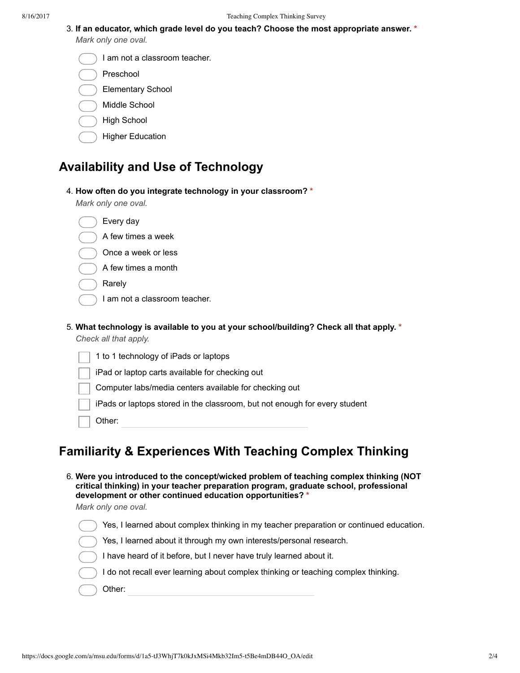3. **If an educator, which grade level do you teach? Choose the most appropriate answer. \***

*Mark only one oval.*

| l I am not a classroom teacher. |  |
|---------------------------------|--|
|---------------------------------|--|

- Preschool
- Elementary School
- Middle School
- High School
- Higher Education

### **Availability and Use of Technology**

4. **How often do you integrate technology in your classroom? \***

*Mark only one oval.*

| Every day                                                                               |
|-----------------------------------------------------------------------------------------|
| A few times a week                                                                      |
| Once a week or less                                                                     |
| A few times a month                                                                     |
| Rarely                                                                                  |
| I am not a classroom teacher.                                                           |
| 5. What technology is available to you at your school/building? Check all that apply. * |
| Check all that apply.                                                                   |

| 1 to 1 technology of iPads or laptops                                      |
|----------------------------------------------------------------------------|
| iPad or laptop carts available for checking out                            |
| Computer labs/media centers available for checking out                     |
| iPads or laptops stored in the classroom, but not enough for every student |
| Other:                                                                     |
|                                                                            |

## **Familiarity & Experiences With Teaching Complex Thinking**

- 6. **Were you introduced to the concept/wicked problem of teaching complex thinking (NOT critical thinking) in your teacher preparation program, graduate school, professional development or other continued education opportunities? \*** *Mark only one oval.*
	-
	- Yes, I learned about complex thinking in my teacher preparation or continued education. Yes, I learned about it through my own interests/personal research. I have heard of it before, but I never have truly learned about it. I do not recall ever learning about complex thinking or teaching complex thinking. Other: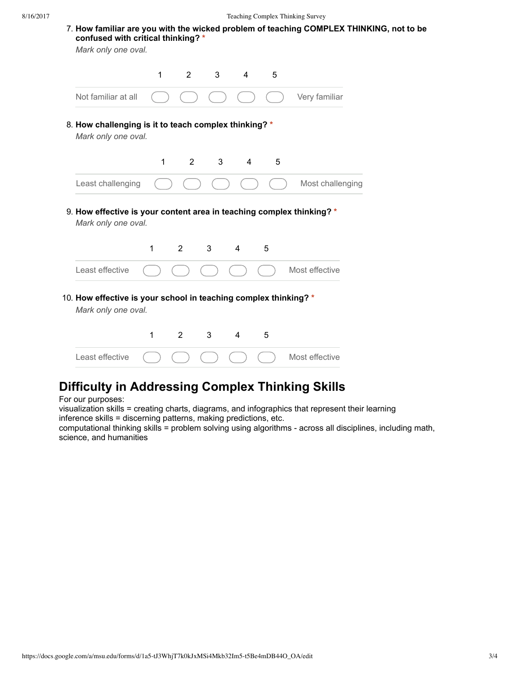7. **How familiar are you with the wicked problem of teaching COMPLEX THINKING, not to be confused with critical thinking? \*** *Mark only one oval.*

1 2 3 4 5 Not familiar at all  $( ) ( ) ( ) ( ) ( ) ( )$   $( ) ( )$  Very familiar

8. **How challenging is it to teach complex thinking? \***

*Mark only one oval.*



9. **How effective is your content area in teaching complex thinking? \*** *Mark only one oval.*

| Least effective $\qquad \qquad \qquad$ $\qquad \qquad$ $\qquad \qquad$ $\qquad \qquad$ $\qquad \qquad$ Most effective |  |  |  |
|-----------------------------------------------------------------------------------------------------------------------|--|--|--|

10. **How effective is your school in teaching complex thinking? \***

*Mark only one oval.*

| Least effective $\bigcap$ $\bigcap$ $\bigcap$ $\bigcap$ $\bigcap$ $\bigcap$ Most effective |  |  |  |
|--------------------------------------------------------------------------------------------|--|--|--|

## **Difficulty in Addressing Complex Thinking Skills**

For our purposes:

visualization skills = creating charts, diagrams, and infographics that represent their learning inference skills = discerning patterns, making predictions, etc.

computational thinking skills = problem solving using algorithms - across all disciplines, including math, science, and humanities